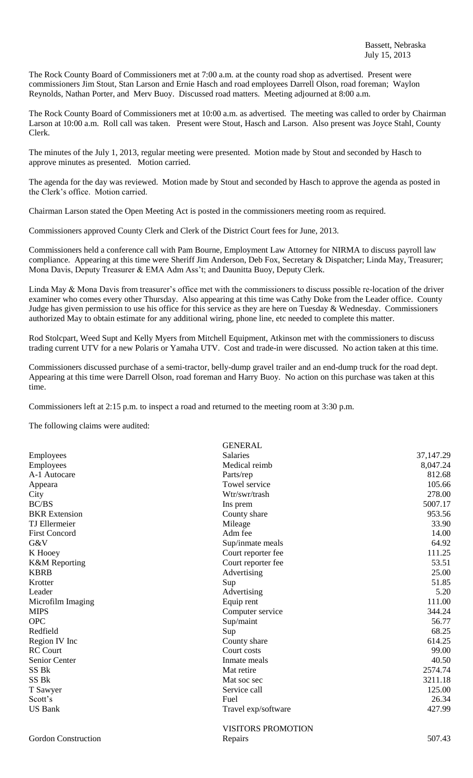The Rock County Board of Commissioners met at 7:00 a.m. at the county road shop as advertised. Present were commissioners Jim Stout, Stan Larson and Ernie Hasch and road employees Darrell Olson, road foreman; Waylon Reynolds, Nathan Porter, and Merv Buoy. Discussed road matters. Meeting adjourned at 8:00 a.m.

The Rock County Board of Commissioners met at 10:00 a.m. as advertised. The meeting was called to order by Chairman Larson at 10:00 a.m. Roll call was taken. Present were Stout, Hasch and Larson. Also present was Joyce Stahl, County Clerk.

The minutes of the July 1, 2013, regular meeting were presented. Motion made by Stout and seconded by Hasch to approve minutes as presented. Motion carried.

The agenda for the day was reviewed. Motion made by Stout and seconded by Hasch to approve the agenda as posted in the Clerk's office. Motion carried.

Chairman Larson stated the Open Meeting Act is posted in the commissioners meeting room as required.

Commissioners approved County Clerk and Clerk of the District Court fees for June, 2013.

Commissioners held a conference call with Pam Bourne, Employment Law Attorney for NIRMA to discuss payroll law compliance. Appearing at this time were Sheriff Jim Anderson, Deb Fox, Secretary & Dispatcher; Linda May, Treasurer; Mona Davis, Deputy Treasurer & EMA Adm Ass't; and Daunitta Buoy, Deputy Clerk.

Linda May & Mona Davis from treasurer's office met with the commissioners to discuss possible re-location of the driver examiner who comes every other Thursday. Also appearing at this time was Cathy Doke from the Leader office. County Judge has given permission to use his office for this service as they are here on Tuesday  $\&$  Wednesday. Commissioners authorized May to obtain estimate for any additional wiring, phone line, etc needed to complete this matter.

Rod Stolcpart, Weed Supt and Kelly Myers from Mitchell Equipment, Atkinson met with the commissioners to discuss trading current UTV for a new Polaris or Yamaha UTV. Cost and trade-in were discussed. No action taken at this time.

Commissioners discussed purchase of a semi-tractor, belly-dump gravel trailer and an end-dump truck for the road dept. Appearing at this time were Darrell Olson, road foreman and Harry Buoy. No action on this purchase was taken at this time.

Commissioners left at 2:15 p.m. to inspect a road and returned to the meeting room at 3:30 p.m.

The following claims were audited:

|                            | <b>GENERAL</b>            |             |
|----------------------------|---------------------------|-------------|
| Employees                  | <b>Salaries</b>           | 37, 147. 29 |
| Employees                  | Medical reimb             | 8,047.24    |
| A-1 Autocare               | Parts/rep                 | 812.68      |
| Appeara                    | Towel service             | 105.66      |
| City                       | Wtr/swr/trash             | 278.00      |
| <b>BC/BS</b>               | Ins prem                  | 5007.17     |
| <b>BKR</b> Extension       | County share              | 953.56      |
| <b>TJ</b> Ellermeier       | Mileage                   | 33.90       |
| <b>First Concord</b>       | Adm fee                   | 14.00       |
| G&V                        | Sup/inmate meals          | 64.92       |
| K Hooey                    | Court reporter fee        | 111.25      |
| <b>K&amp;M</b> Reporting   | Court reporter fee        | 53.51       |
| <b>KBRB</b>                | Advertising               | 25.00       |
| Krotter                    | Sup                       | 51.85       |
| Leader                     | Advertising               | 5.20        |
| Microfilm Imaging          | Equip rent                | 111.00      |
| <b>MIPS</b>                | Computer service          | 344.24      |
| <b>OPC</b>                 | Sup/maint                 | 56.77       |
| Redfield                   | Sup                       | 68.25       |
| Region IV Inc              | County share              | 614.25      |
| <b>RC</b> Court            | Court costs               | 99.00       |
| Senior Center              | Inmate meals              | 40.50       |
| SS <sub>Bk</sub>           | Mat retire                | 2574.74     |
| SS <sub>Bk</sub>           | Mat soc sec               | 3211.18     |
| T Sawyer                   | Service call              | 125.00      |
| Scott's                    | Fuel                      | 26.34       |
| <b>US Bank</b>             | Travel exp/software       | 427.99      |
|                            | <b>VISITORS PROMOTION</b> |             |
| <b>Gordon Construction</b> | Repairs                   | 507.43      |